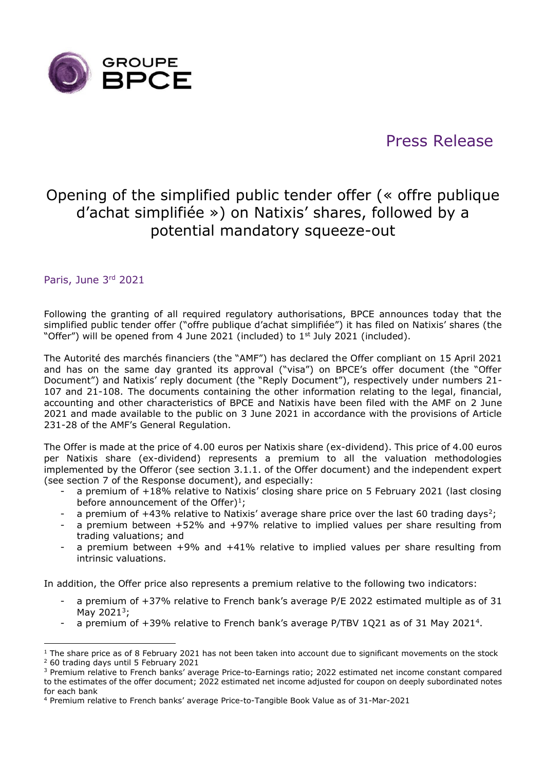

# Press Release

# Opening of the simplified public tender offer (« offre publique d'achat simplifiée ») on Natixis' shares, followed by a potential mandatory squeeze-out

## Paris, June 3rd 2021

Following the granting of all required regulatory authorisations, BPCE announces today that the simplified public tender offer ("offre publique d'achat simplifiée") it has filed on Natixis' shares (the "Offer") will be opened from 4 June 2021 (included) to 1<sup>st</sup> July 2021 (included).

The Autorité des marchés financiers (the "AMF") has declared the Offer compliant on 15 April 2021 and has on the same day granted its approval ("visa") on BPCE's offer document (the "Offer Document") and Natixis' reply document (the "Reply Document"), respectively under numbers 21- 107 and 21-108. The documents containing the other information relating to the legal, financial, accounting and other characteristics of BPCE and Natixis have been filed with the AMF on 2 June 2021 and made available to the public on 3 June 2021 in accordance with the provisions of Article 231-28 of the AMF's General Regulation.

The Offer is made at the price of 4.00 euros per Natixis share (ex-dividend). This price of 4.00 euros per Natixis share (ex-dividend) represents a premium to all the valuation methodologies implemented by the Offeror (see section 3.1.1. of the Offer document) and the independent expert (see section 7 of the Response document), and especially:

- a premium of +18% relative to Natixis' closing share price on 5 February 2021 (last closing before announcement of the Offer)<sup>1</sup>;
- a premium of  $+43\%$  relative to Natixis' average share price over the last 60 trading days<sup>2</sup>;
- a premium between  $+52\%$  and  $+97\%$  relative to implied values per share resulting from trading valuations; and
- a premium between  $+9\%$  and  $+41\%$  relative to implied values per share resulting from intrinsic valuations.

In addition, the Offer price also represents a premium relative to the following two indicators:

- a premium of  $+37%$  relative to French bank's average P/E 2022 estimated multiple as of 31 May 2021<sup>3</sup>;
- a premium of +39% relative to French bank's average P/TBV 1Q21 as of 31 May 2021<sup>4</sup>.

<sup>&</sup>lt;sup>1</sup> The share price as of 8 February 2021 has not been taken into account due to significant movements on the stock <sup>2</sup> 60 trading days until 5 February 2021

<sup>3</sup> Premium relative to French banks' average Price-to-Earnings ratio; 2022 estimated net income constant compared to the estimates of the offer document; 2022 estimated net income adjusted for coupon on deeply subordinated notes for each bank

<sup>4</sup> Premium relative to French banks' average Price-to-Tangible Book Value as of 31-Mar-2021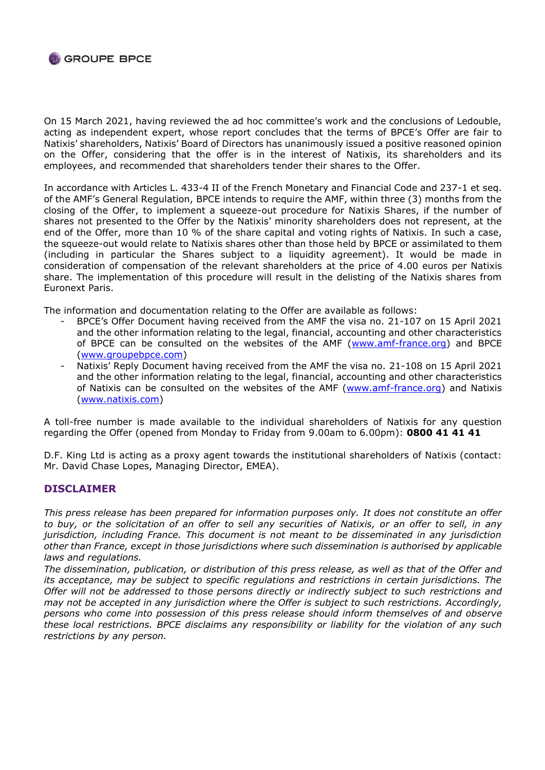

On 15 March 2021, having reviewed the ad hoc committee's work and the conclusions of Ledouble, acting as independent expert, whose report concludes that the terms of BPCE's Offer are fair to Natixis' shareholders, Natixis' Board of Directors has unanimously issued a positive reasoned opinion on the Offer, considering that the offer is in the interest of Natixis, its shareholders and its employees, and recommended that shareholders tender their shares to the Offer.

In accordance with Articles L. 433-4 II of the French Monetary and Financial Code and 237-1 et seq. of the AMF's General Regulation, BPCE intends to require the AMF, within three (3) months from the closing of the Offer, to implement a squeeze-out procedure for Natixis Shares, if the number of shares not presented to the Offer by the Natixis' minority shareholders does not represent, at the end of the Offer, more than 10 % of the share capital and voting rights of Natixis. In such a case, the squeeze-out would relate to Natixis shares other than those held by BPCE or assimilated to them (including in particular the Shares subject to a liquidity agreement). It would be made in consideration of compensation of the relevant shareholders at the price of 4.00 euros per Natixis share. The implementation of this procedure will result in the delisting of the Natixis shares from Euronext Paris.

The information and documentation relating to the Offer are available as follows:

- BPCE's Offer Document having received from the AMF the visa no. 21-107 on 15 April 2021 and the other information relating to the legal, financial, accounting and other characteristics of BPCE can be consulted on the websites of the AMF [\(www.amf-france.org\)](http://www.amf-france.org/) and BPCE [\(www.groupebpce.com\)](http://www.groupebpce.com/)
- Natixis' Reply Document having received from the AMF the visa no. 21-108 on 15 April 2021 and the other information relating to the legal, financial, accounting and other characteristics of Natixis can be consulted on the websites of the AMF [\(www.amf-france.org\)](http://www.amf-france.org/) and Natixis [\(www.natixis.com\)](http://www.natixis.com/)

A toll-free number is made available to the individual shareholders of Natixis for any question regarding the Offer (opened from Monday to Friday from 9.00am to 6.00pm): **0800 41 41 41**

D.F. King Ltd is acting as a proxy agent towards the institutional shareholders of Natixis (contact: Mr. David Chase Lopes, Managing Director, EMEA).

### **DISCLAIMER**

*This press release has been prepared for information purposes only. It does not constitute an offer to buy, or the solicitation of an offer to sell any securities of Natixis, or an offer to sell, in any jurisdiction, including France. This document is not meant to be disseminated in any jurisdiction other than France, except in those jurisdictions where such dissemination is authorised by applicable laws and regulations.*

*The dissemination, publication, or distribution of this press release, as well as that of the Offer and its acceptance, may be subject to specific regulations and restrictions in certain jurisdictions. The Offer will not be addressed to those persons directly or indirectly subject to such restrictions and may not be accepted in any jurisdiction where the Offer is subject to such restrictions. Accordingly, persons who come into possession of this press release should inform themselves of and observe these local restrictions. BPCE disclaims any responsibility or liability for the violation of any such restrictions by any person.*